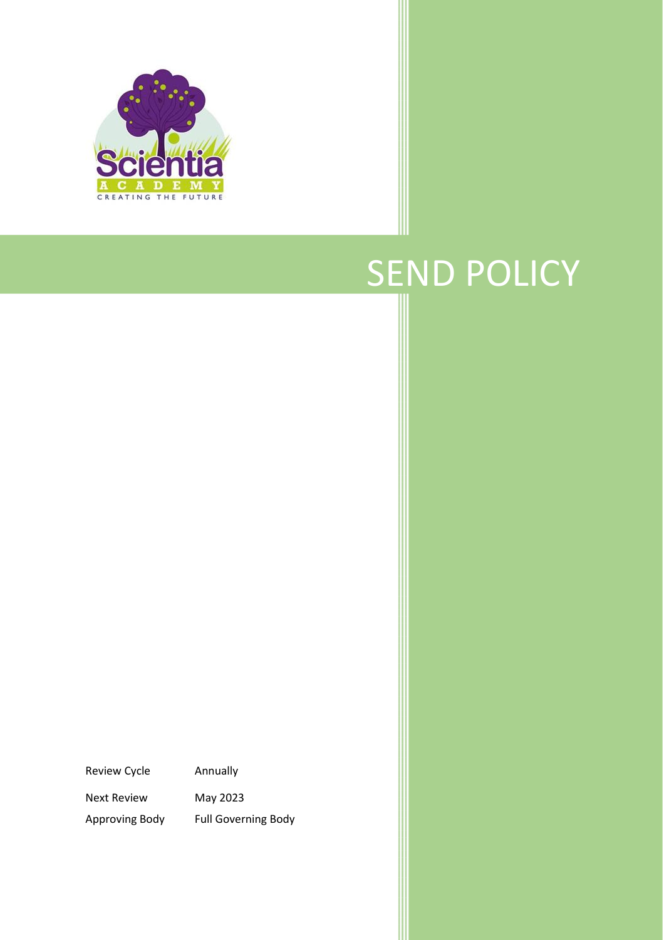

# SEND POLICY

Review Cycle Annually Next Review May 2023

Approving Body Full Governing Body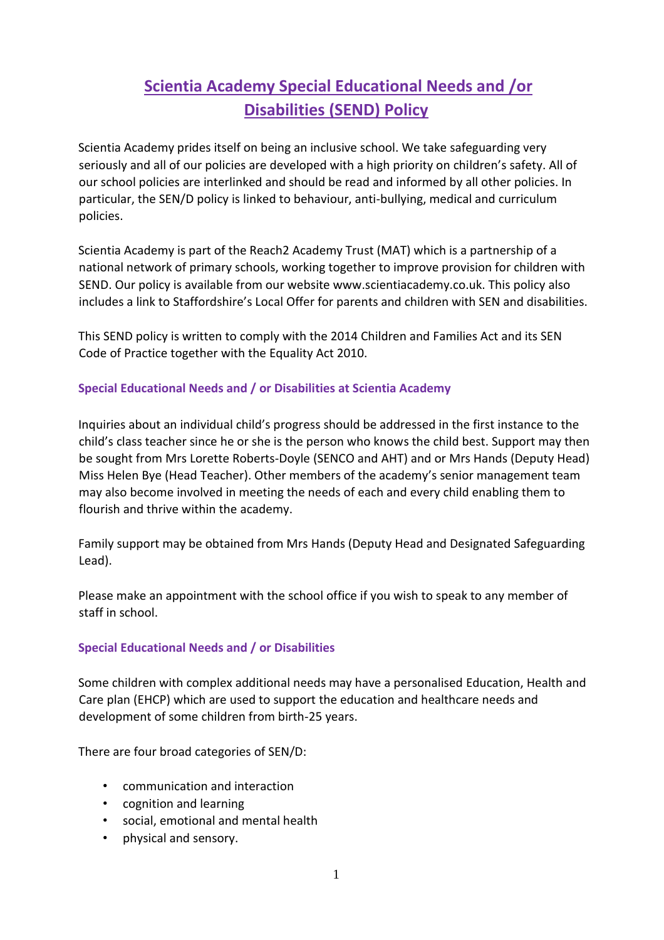# **Scientia Academy Special Educational Needs and /or Disabilities (SEND) Policy**

Scientia Academy prides itself on being an inclusive school. We take safeguarding very seriously and all of our policies are developed with a high priority on children's safety. All of our school policies are interlinked and should be read and informed by all other policies. In particular, the SEN/D policy is linked to behaviour, anti-bullying, medical and curriculum policies.

Scientia Academy is part of the Reach2 Academy Trust (MAT) which is a partnership of a national network of primary schools, working together to improve provision for children with SEND. Our policy is available from our website www.scientiacademy.co.uk. This policy also includes a link to Staffordshire's Local Offer for parents and children with SEN and disabilities.

This SEND policy is written to comply with the 2014 Children and Families Act and its SEN Code of Practice together with the Equality Act 2010.

# **Special Educational Needs and / or Disabilities at Scientia Academy**

Inquiries about an individual child's progress should be addressed in the first instance to the child's class teacher since he or she is the person who knows the child best. Support may then be sought from Mrs Lorette Roberts-Doyle (SENCO and AHT) and or Mrs Hands (Deputy Head) Miss Helen Bye (Head Teacher). Other members of the academy's senior management team may also become involved in meeting the needs of each and every child enabling them to flourish and thrive within the academy.

Family support may be obtained from Mrs Hands (Deputy Head and Designated Safeguarding Lead).

Please make an appointment with the school office if you wish to speak to any member of staff in school.

# **Special Educational Needs and / or Disabilities**

Some children with complex additional needs may have a personalised Education, Health and Care plan (EHCP) which are used to support the education and healthcare needs and development of some children from birth-25 years.

There are four broad categories of SEN/D:

- communication and interaction
- cognition and learning
- social, emotional and mental health
- physical and sensory.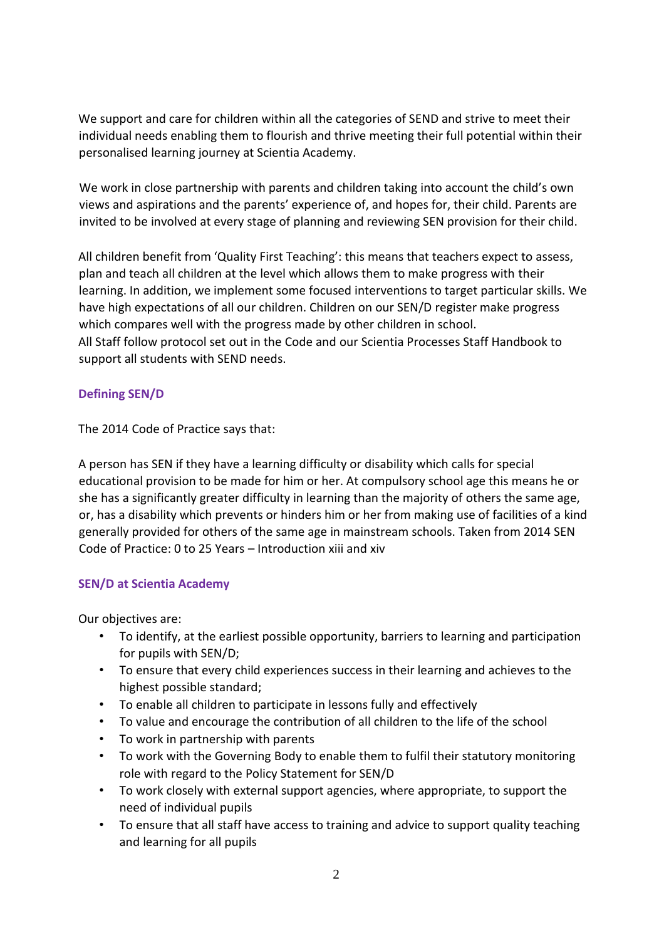We support and care for children within all the categories of SEND and strive to meet their individual needs enabling them to flourish and thrive meeting their full potential within their personalised learning journey at Scientia Academy.

We work in close partnership with parents and children taking into account the child's own views and aspirations and the parents' experience of, and hopes for, their child. Parents are invited to be involved at every stage of planning and reviewing SEN provision for their child.

All children benefit from 'Quality First Teaching': this means that teachers expect to assess, plan and teach all children at the level which allows them to make progress with their learning. In addition, we implement some focused interventions to target particular skills. We have high expectations of all our children. Children on our SEN/D register make progress which compares well with the progress made by other children in school. All Staff follow protocol set out in the Code and our Scientia Processes Staff Handbook to support all students with SEND needs.

# **Defining SEN/D**

The 2014 Code of Practice says that:

A person has SEN if they have a learning difficulty or disability which calls for special educational provision to be made for him or her. At compulsory school age this means he or she has a significantly greater difficulty in learning than the majority of others the same age, or, has a disability which prevents or hinders him or her from making use of facilities of a kind generally provided for others of the same age in mainstream schools. Taken from 2014 SEN Code of Practice: 0 to 25 Years – Introduction xiii and xiv

# **SEN/D at Scientia Academy**

Our objectives are:

- To identify, at the earliest possible opportunity, barriers to learning and participation for pupils with SEN/D;
- To ensure that every child experiences success in their learning and achieves to the highest possible standard;
- To enable all children to participate in lessons fully and effectively
- To value and encourage the contribution of all children to the life of the school
- To work in partnership with parents
- To work with the Governing Body to enable them to fulfil their statutory monitoring role with regard to the Policy Statement for SEN/D
- To work closely with external support agencies, where appropriate, to support the need of individual pupils
- To ensure that all staff have access to training and advice to support quality teaching and learning for all pupils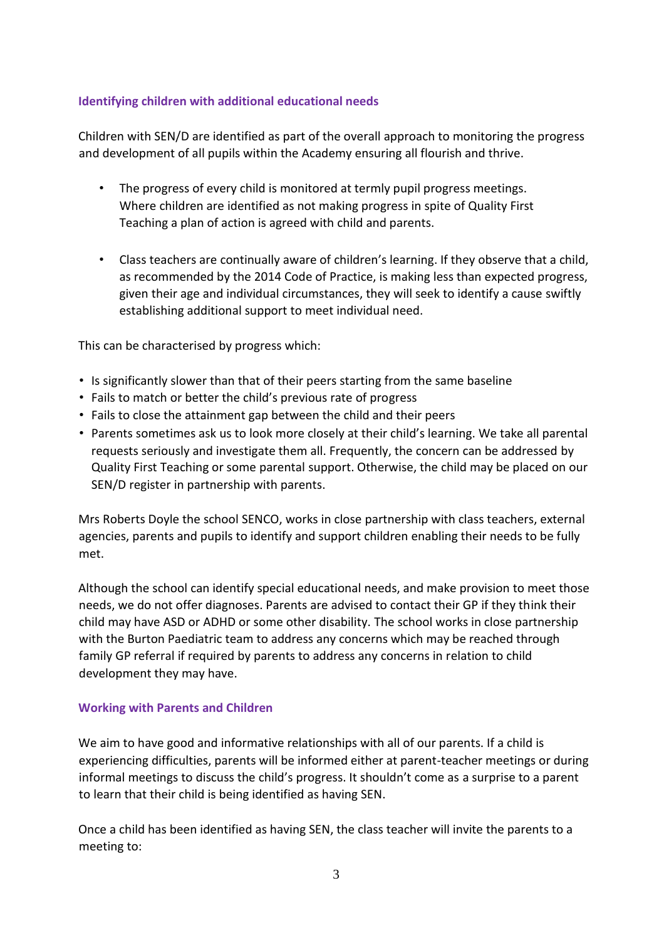# **Identifying children with additional educational needs**

Children with SEN/D are identified as part of the overall approach to monitoring the progress and development of all pupils within the Academy ensuring all flourish and thrive.

- The progress of every child is monitored at termly pupil progress meetings. Where children are identified as not making progress in spite of Quality First Teaching a plan of action is agreed with child and parents.
- Class teachers are continually aware of children's learning. If they observe that a child, as recommended by the 2014 Code of Practice, is making less than expected progress, given their age and individual circumstances, they will seek to identify a cause swiftly establishing additional support to meet individual need.

This can be characterised by progress which:

- Is significantly slower than that of their peers starting from the same baseline
- Fails to match or better the child's previous rate of progress
- Fails to close the attainment gap between the child and their peers
- Parents sometimes ask us to look more closely at their child's learning. We take all parental requests seriously and investigate them all. Frequently, the concern can be addressed by Quality First Teaching or some parental support. Otherwise, the child may be placed on our SEN/D register in partnership with parents.

Mrs Roberts Doyle the school SENCO, works in close partnership with class teachers, external agencies, parents and pupils to identify and support children enabling their needs to be fully met.

Although the school can identify special educational needs, and make provision to meet those needs, we do not offer diagnoses. Parents are advised to contact their GP if they think their child may have ASD or ADHD or some other disability. The school works in close partnership with the Burton Paediatric team to address any concerns which may be reached through family GP referral if required by parents to address any concerns in relation to child development they may have.

#### **Working with Parents and Children**

We aim to have good and informative relationships with all of our parents. If a child is experiencing difficulties, parents will be informed either at parent-teacher meetings or during informal meetings to discuss the child's progress. It shouldn't come as a surprise to a parent to learn that their child is being identified as having SEN.

Once a child has been identified as having SEN, the class teacher will invite the parents to a meeting to: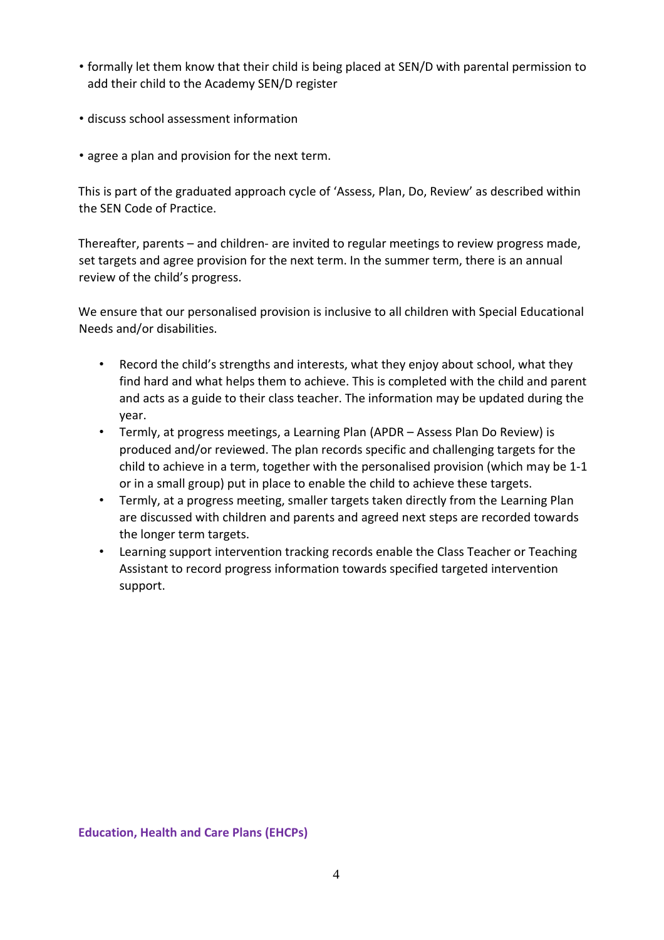- formally let them know that their child is being placed at SEN/D with parental permission to add their child to the Academy SEN/D register
- discuss school assessment information
- agree a plan and provision for the next term.

This is part of the graduated approach cycle of 'Assess, Plan, Do, Review' as described within the SEN Code of Practice.

Thereafter, parents – and children- are invited to regular meetings to review progress made, set targets and agree provision for the next term. In the summer term, there is an annual review of the child's progress.

We ensure that our personalised provision is inclusive to all children with Special Educational Needs and/or disabilities.

- Record the child's strengths and interests, what they enjoy about school, what they find hard and what helps them to achieve. This is completed with the child and parent and acts as a guide to their class teacher. The information may be updated during the year.
- Termly, at progress meetings, a Learning Plan (APDR Assess Plan Do Review) is produced and/or reviewed. The plan records specific and challenging targets for the child to achieve in a term, together with the personalised provision (which may be 1-1 or in a small group) put in place to enable the child to achieve these targets.
- Termly, at a progress meeting, smaller targets taken directly from the Learning Plan are discussed with children and parents and agreed next steps are recorded towards the longer term targets.
- Learning support intervention tracking records enable the Class Teacher or Teaching Assistant to record progress information towards specified targeted intervention support.

**Education, Health and Care Plans (EHCPs)**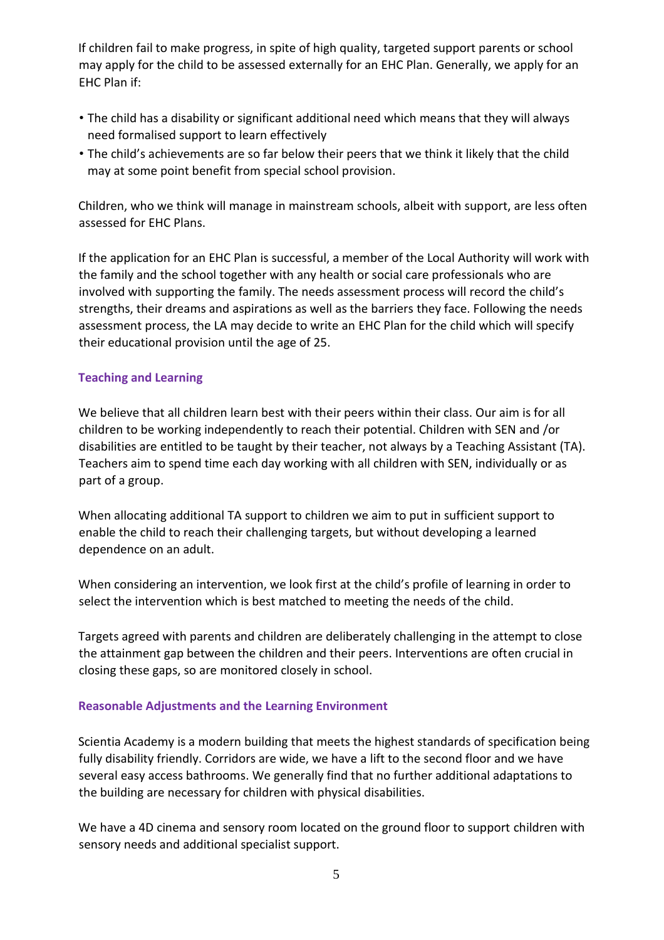If children fail to make progress, in spite of high quality, targeted support parents or school may apply for the child to be assessed externally for an EHC Plan. Generally, we apply for an EHC Plan if:

- The child has a disability or significant additional need which means that they will always need formalised support to learn effectively
- The child's achievements are so far below their peers that we think it likely that the child may at some point benefit from special school provision.

Children, who we think will manage in mainstream schools, albeit with support, are less often assessed for EHC Plans.

If the application for an EHC Plan is successful, a member of the Local Authority will work with the family and the school together with any health or social care professionals who are involved with supporting the family. The needs assessment process will record the child's strengths, their dreams and aspirations as well as the barriers they face. Following the needs assessment process, the LA may decide to write an EHC Plan for the child which will specify their educational provision until the age of 25.

# **Teaching and Learning**

We believe that all children learn best with their peers within their class. Our aim is for all children to be working independently to reach their potential. Children with SEN and /or disabilities are entitled to be taught by their teacher, not always by a Teaching Assistant (TA). Teachers aim to spend time each day working with all children with SEN, individually or as part of a group.

When allocating additional TA support to children we aim to put in sufficient support to enable the child to reach their challenging targets, but without developing a learned dependence on an adult.

When considering an intervention, we look first at the child's profile of learning in order to select the intervention which is best matched to meeting the needs of the child.

Targets agreed with parents and children are deliberately challenging in the attempt to close the attainment gap between the children and their peers. Interventions are often crucial in closing these gaps, so are monitored closely in school.

#### **Reasonable Adjustments and the Learning Environment**

Scientia Academy is a modern building that meets the highest standards of specification being fully disability friendly. Corridors are wide, we have a lift to the second floor and we have several easy access bathrooms. We generally find that no further additional adaptations to the building are necessary for children with physical disabilities.

We have a 4D cinema and sensory room located on the ground floor to support children with sensory needs and additional specialist support.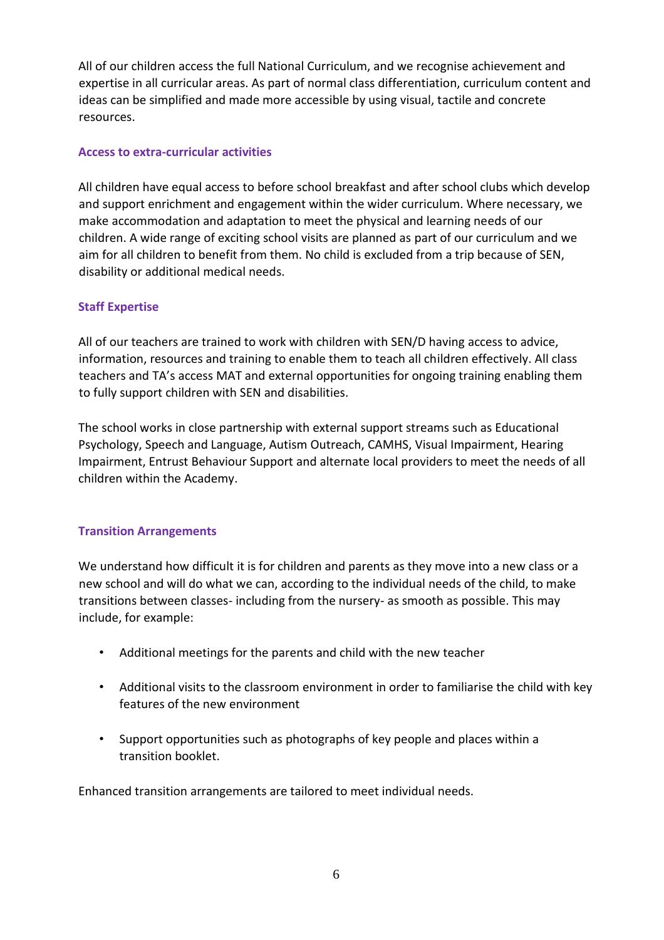All of our children access the full National Curriculum, and we recognise achievement and expertise in all curricular areas. As part of normal class differentiation, curriculum content and ideas can be simplified and made more accessible by using visual, tactile and concrete resources.

## **Access to extra-curricular activities**

All children have equal access to before school breakfast and after school clubs which develop and support enrichment and engagement within the wider curriculum. Where necessary, we make accommodation and adaptation to meet the physical and learning needs of our children. A wide range of exciting school visits are planned as part of our curriculum and we aim for all children to benefit from them. No child is excluded from a trip because of SEN, disability or additional medical needs.

# **Staff Expertise**

All of our teachers are trained to work with children with SEN/D having access to advice, information, resources and training to enable them to teach all children effectively. All class teachers and TA's access MAT and external opportunities for ongoing training enabling them to fully support children with SEN and disabilities.

The school works in close partnership with external support streams such as Educational Psychology, Speech and Language, Autism Outreach, CAMHS, Visual Impairment, Hearing Impairment, Entrust Behaviour Support and alternate local providers to meet the needs of all children within the Academy.

#### **Transition Arrangements**

We understand how difficult it is for children and parents as they move into a new class or a new school and will do what we can, according to the individual needs of the child, to make transitions between classes- including from the nursery- as smooth as possible. This may include, for example:

- Additional meetings for the parents and child with the new teacher
- Additional visits to the classroom environment in order to familiarise the child with key features of the new environment
- Support opportunities such as photographs of key people and places within a transition booklet.

Enhanced transition arrangements are tailored to meet individual needs.